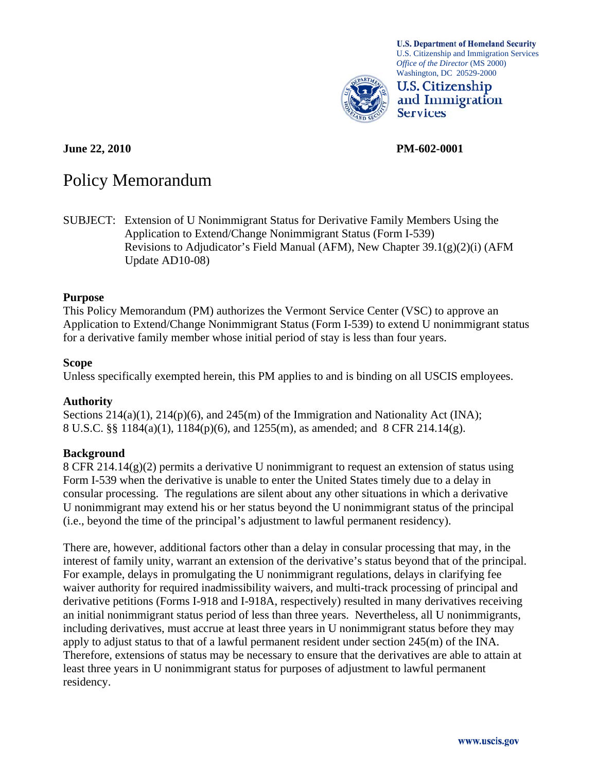

**U.S. Department of Homeland Security** U.S. Citizenship and Immigration Services *Office of the Director* (MS 2000) Washington, DC 20529-2000

**U.S. Citizenship** and Immigration **Services** 

**June 22, 2010 PM-602-0001** 

# Policy Memorandum

SUBJECT: Extension of U Nonimmigrant Status for Derivative Family Members Using the Application to Extend/Change Nonimmigrant Status (Form I-539) Revisions to Adjudicator's Field Manual (AFM), New Chapter  $39.1(g)(2)(i)$  (AFM Update AD10-08)

#### **Purpose**

This Policy Memorandum (PM) authorizes the Vermont Service Center (VSC) to approve an Application to Extend/Change Nonimmigrant Status (Form I-539) to extend U nonimmigrant status for a derivative family member whose initial period of stay is less than four years.

#### **Scope**

Unless specifically exempted herein, this PM applies to and is binding on all USCIS employees.

#### **Authority**

Sections  $214(a)(1)$ ,  $214(p)(6)$ , and  $245(m)$  of the Immigration and Nationality Act (INA); 8 U.S.C. §§ 1184(a)(1), 1184(p)(6), and 1255(m), as amended; and 8 CFR 214.14(g).

#### **Background**

8 CFR 214.14(g)(2) permits a derivative U nonimmigrant to request an extension of status using Form I-539 when the derivative is unable to enter the United States timely due to a delay in consular processing. The regulations are silent about any other situations in which a derivative U nonimmigrant may extend his or her status beyond the U nonimmigrant status of the principal (i.e., beyond the time of the principal's adjustment to lawful permanent residency).

There are, however, additional factors other than a delay in consular processing that may, in the interest of family unity, warrant an extension of the derivative's status beyond that of the principal. For example, delays in promulgating the U nonimmigrant regulations, delays in clarifying fee waiver authority for required inadmissibility waivers, and multi-track processing of principal and derivative petitions (Forms I-918 and I-918A, respectively) resulted in many derivatives receiving an initial nonimmigrant status period of less than three years. Nevertheless, all U nonimmigrants, including derivatives, must accrue at least three years in U nonimmigrant status before they may apply to adjust status to that of a lawful permanent resident under section 245(m) of the INA. Therefore, extensions of status may be necessary to ensure that the derivatives are able to attain at least three years in U nonimmigrant status for purposes of adjustment to lawful permanent residency.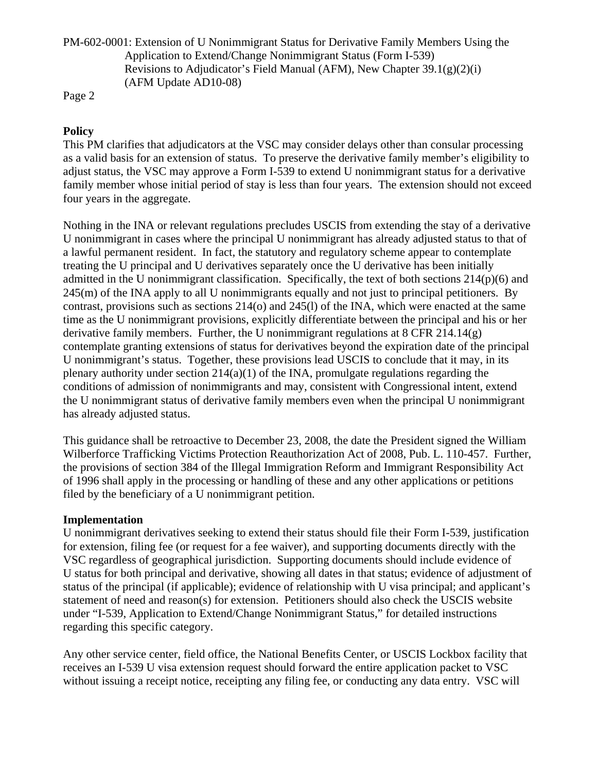PM-602-0001: Extension of U Nonimmigrant Status for Derivative Family Members Using the Application to Extend/Change Nonimmigrant Status (Form I-539) Revisions to Adjudicator's Field Manual (AFM), New Chapter 39.1(g)(2)(i) (AFM Update AD10-08)

Page 2

# **Policy**

This PM clarifies that adjudicators at the VSC may consider delays other than consular processing as a valid basis for an extension of status. To preserve the derivative family member's eligibility to adjust status, the VSC may approve a Form I-539 to extend U nonimmigrant status for a derivative family member whose initial period of stay is less than four years. The extension should not exceed four years in the aggregate.

Nothing in the INA or relevant regulations precludes USCIS from extending the stay of a derivative U nonimmigrant in cases where the principal U nonimmigrant has already adjusted status to that of a lawful permanent resident. In fact, the statutory and regulatory scheme appear to contemplate treating the U principal and U derivatives separately once the U derivative has been initially admitted in the U nonimmigrant classification. Specifically, the text of both sections 214(p)(6) and  $245(m)$  of the INA apply to all U nonimmigrants equally and not just to principal petitioners. By contrast, provisions such as sections 214(o) and 245(l) of the INA, which were enacted at the same time as the U nonimmigrant provisions, explicitly differentiate between the principal and his or her derivative family members. Further, the U nonimmigrant regulations at 8 CFR 214.14(g) contemplate granting extensions of status for derivatives beyond the expiration date of the principal U nonimmigrant's status. Together, these provisions lead USCIS to conclude that it may, in its plenary authority under section 214(a)(1) of the INA, promulgate regulations regarding the conditions of admission of nonimmigrants and may, consistent with Congressional intent, extend the U nonimmigrant status of derivative family members even when the principal U nonimmigrant has already adjusted status.

This guidance shall be retroactive to December 23, 2008, the date the President signed the William Wilberforce Trafficking Victims Protection Reauthorization Act of 2008, Pub. L. 110-457. Further, the provisions of section 384 of the Illegal Immigration Reform and Immigrant Responsibility Act of 1996 shall apply in the processing or handling of these and any other applications or petitions filed by the beneficiary of a U nonimmigrant petition.

## **Implementation**

U nonimmigrant derivatives seeking to extend their status should file their Form I-539, justification for extension, filing fee (or request for a fee waiver), and supporting documents directly with the VSC regardless of geographical jurisdiction. Supporting documents should include evidence of U status for both principal and derivative, showing all dates in that status; evidence of adjustment of status of the principal (if applicable); evidence of relationship with U visa principal; and applicant's statement of need and reason(s) for extension. Petitioners should also check the USCIS website under "I-539, Application to Extend/Change Nonimmigrant Status," for detailed instructions regarding this specific category.

Any other service center, field office, the National Benefits Center, or USCIS Lockbox facility that receives an I-539 U visa extension request should forward the entire application packet to VSC without issuing a receipt notice, receipting any filing fee, or conducting any data entry. VSC will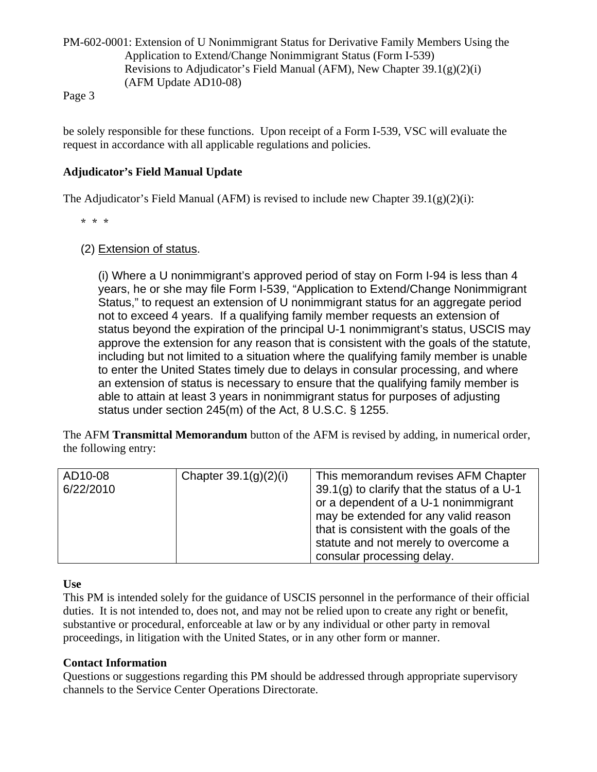PM-602-0001: Extension of U Nonimmigrant Status for Derivative Family Members Using the Application to Extend/Change Nonimmigrant Status (Form I-539) Revisions to Adjudicator's Field Manual (AFM), New Chapter  $39.1(g)(2)(i)$ (AFM Update AD10-08)

Page 3

be solely responsible for these functions. Upon receipt of a Form I-539, VSC will evaluate the request in accordance with all applicable regulations and policies.

## **Adjudicator's Field Manual Update**

The Adjudicator's Field Manual (AFM) is revised to include new Chapter  $39.1(g)(2)(i)$ :

\* \* \*

## (2) Extension of status.

(i) Where a U nonimmigrant's approved period of stay on Form I-94 is less than 4 years, he or she may file Form I-539, "Application to Extend/Change Nonimmigrant Status," to request an extension of U nonimmigrant status for an aggregate period not to exceed 4 years. If a qualifying family member requests an extension of status beyond the expiration of the principal U-1 nonimmigrant's status, USCIS may approve the extension for any reason that is consistent with the goals of the statute, including but not limited to a situation where the qualifying family member is unable to enter the United States timely due to delays in consular processing, and where an extension of status is necessary to ensure that the qualifying family member is able to attain at least 3 years in nonimmigrant status for purposes of adjusting status under section 245(m) of the Act, 8 U.S.C. § 1255.

The AFM **Transmittal Memorandum** button of the AFM is revised by adding, in numerical order, the following entry:

| AD10-08<br>6/22/2010 | Chapter $39.1(g)(2)(i)$ | This memorandum revises AFM Chapter<br>39.1(g) to clarify that the status of a $U$ -1<br>or a dependent of a U-1 nonimmigrant<br>may be extended for any valid reason<br>that is consistent with the goals of the |
|----------------------|-------------------------|-------------------------------------------------------------------------------------------------------------------------------------------------------------------------------------------------------------------|
|                      |                         | statute and not merely to overcome a<br>consular processing delay.                                                                                                                                                |

## **Use**

This PM is intended solely for the guidance of USCIS personnel in the performance of their official duties. It is not intended to, does not, and may not be relied upon to create any right or benefit, substantive or procedural, enforceable at law or by any individual or other party in removal proceedings, in litigation with the United States, or in any other form or manner.

## **Contact Information**

Questions or suggestions regarding this PM should be addressed through appropriate supervisory channels to the Service Center Operations Directorate.